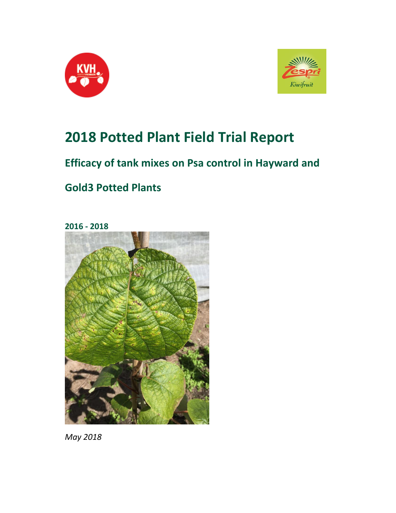



# **2018 Potted Plant Field Trial Report**

# **Efficacy of tank mixes on Psa control in Hayward and**

# **Gold3 Potted Plants**

**2016 - 2018**



*May 2018*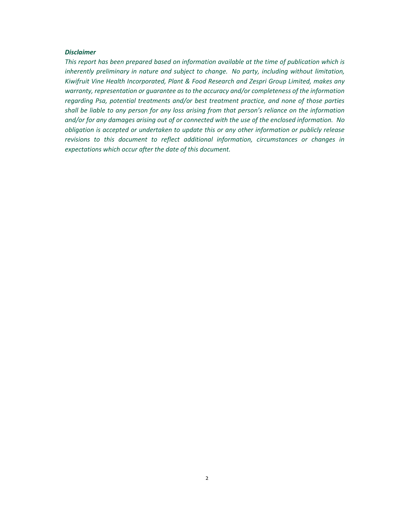#### *Disclaimer*

*This report has been prepared based on information available at the time of publication which is inherently preliminary in nature and subject to change. No party, including without limitation, Kiwifruit Vine Health Incorporated, Plant & Food Research and Zespri Group Limited, makes any warranty, representation or guarantee as to the accuracy and/or completeness of the information regarding Psa, potential treatments and/or best treatment practice, and none of those parties shall be liable to any person for any loss arising from that person's reliance on the information and/or for any damages arising out of or connected with the use of the enclosed information. No obligation is accepted or undertaken to update this or any other information or publicly release revisions to this document to reflect additional information, circumstances or changes in expectations which occur after the date of this document.*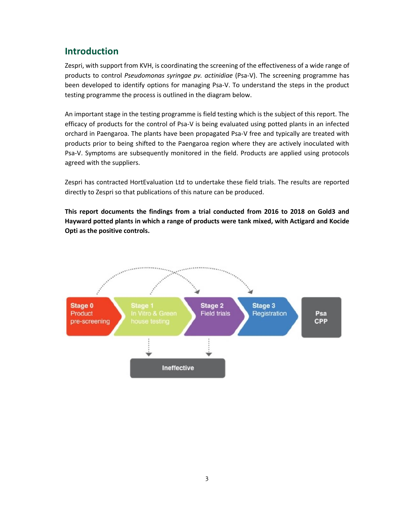# **Introduction**

Zespri, with support from KVH, is coordinating the screening of the effectiveness of a wide range of products to control *Pseudomonas syringae pv. actinidiae* (Psa-V). The screening programme has been developed to identify options for managing Psa-V. To understand the steps in the product testing programme the process is outlined in the diagram below.

An important stage in the testing programme is field testing which is the subject of this report. The efficacy of products for the control of Psa-V is being evaluated using potted plants in an infected orchard in Paengaroa. The plants have been propagated Psa-V free and typically are treated with products prior to being shifted to the Paengaroa region where they are actively inoculated with Psa-V. Symptoms are subsequently monitored in the field. Products are applied using protocols agreed with the suppliers.

Zespri has contracted HortEvaluation Ltd to undertake these field trials. The results are reported directly to Zespri so that publications of this nature can be produced.

**This report documents the findings from a trial conducted from 2016 to 2018 on Gold3 and Hayward potted plants in which a range of products were tank mixed, with Actigard and Kocide Opti as the positive controls.**

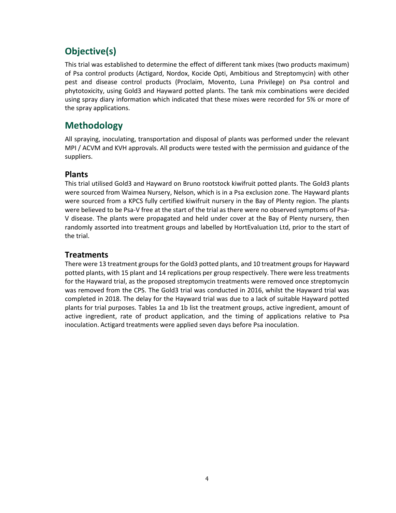# **Objective(s)**

This trial was established to determine the effect of different tank mixes (two products maximum) of Psa control products (Actigard, Nordox, Kocide Opti, Ambitious and Streptomycin) with other pest and disease control products (Proclaim, Movento, Luna Privilege) on Psa control and phytotoxicity, using Gold3 and Hayward potted plants. The tank mix combinations were decided using spray diary information which indicated that these mixes were recorded for 5% or more of the spray applications.

# **Methodology**

All spraying, inoculating, transportation and disposal of plants was performed under the relevant MPI / ACVM and KVH approvals. All products were tested with the permission and guidance of the suppliers.

## **Plants**

This trial utilised Gold3 and Hayward on Bruno rootstock kiwifruit potted plants. The Gold3 plants were sourced from Waimea Nursery, Nelson, which is in a Psa exclusion zone. The Hayward plants were sourced from a KPCS fully certified kiwifruit nursery in the Bay of Plenty region. The plants were believed to be Psa-V free at the start of the trial as there were no observed symptoms of Psa-V disease. The plants were propagated and held under cover at the Bay of Plenty nursery, then randomly assorted into treatment groups and labelled by HortEvaluation Ltd, prior to the start of the trial.

## **Treatments**

There were 13 treatment groups for the Gold3 potted plants, and 10 treatment groups for Hayward potted plants, with 15 plant and 14 replications per group respectively. There were less treatments for the Hayward trial, as the proposed streptomycin treatments were removed once streptomycin was removed from the CPS. The Gold3 trial was conducted in 2016, whilst the Hayward trial was completed in 2018. The delay for the Hayward trial was due to a lack of suitable Hayward potted plants for trial purposes. Tables 1a and 1b list the treatment groups, active ingredient, amount of active ingredient, rate of product application, and the timing of applications relative to Psa inoculation. Actigard treatments were applied seven days before Psa inoculation.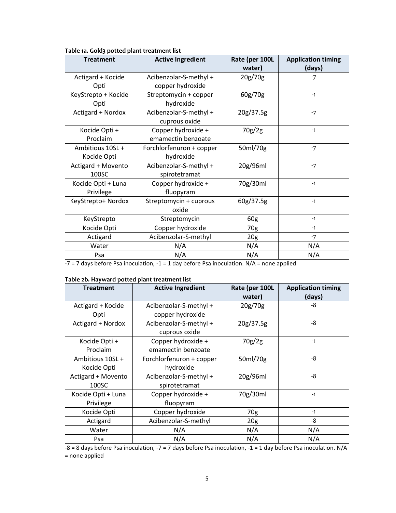| <b>Treatment</b>                | <b>Active Ingredient</b>                   | Rate (per 100L<br>water) | <b>Application timing</b><br>(days) |
|---------------------------------|--------------------------------------------|--------------------------|-------------------------------------|
| Actigard + Kocide<br>Opti       | Acibenzolar-S-methyl +<br>copper hydroxide | 20g/70g                  | $-7$                                |
| KeyStrepto + Kocide<br>Opti     | Streptomycin + copper<br>hydroxide         | 60g/70g                  | $-1$                                |
| Actigard + Nordox               | Acibenzolar-S-methyl +<br>cuprous oxide    | 20g/37.5g                | $-7$                                |
| Kocide Opti +<br>Proclaim       | Copper hydroxide +<br>emamectin benzoate   | 70g/2g                   | $-1$                                |
| Ambitious 10SL +<br>Kocide Opti | Forchlorfenuron + copper<br>hydroxide      | 50ml/70g                 | $-7$                                |
| Actigard + Movento<br>100SC     | Acibenzolar-S-methyl +<br>spirotetramat    | 20g/96ml                 | $-7$                                |
| Kocide Opti + Luna<br>Privilege | Copper hydroxide +<br>fluopyram            | 70g/30ml                 | $-1$                                |
| KeyStrepto+ Nordox              | Streptomycin + cuprous<br>oxide            | 60g/37.5g                | $-1$                                |
| KeyStrepto                      | Streptomycin                               | 60g                      | $-1$                                |
| Kocide Opti                     | Copper hydroxide                           | 70g                      | $-1$                                |
| Actigard                        | Acibenzolar-S-methyl                       | 20 <sub>g</sub>          | $-7$                                |
| Water                           | N/A                                        | N/A                      | N/A                                 |
| Psa                             | N/A                                        | N/A                      | N/A                                 |

#### **Table 1a. Gold3 potted plant treatment list**

 $-7 = 7$  days before Psa inoculation,  $-1 = 1$  day before Psa inoculation. N/A = none applied

#### **Table 2b. Hayward potted plant treatment list**

| <b>Treatment</b>   | <b>Active Ingredient</b> | Rate (per 100L<br>water) | <b>Application timing</b><br>(days) |
|--------------------|--------------------------|--------------------------|-------------------------------------|
| Actigard + Kocide  | Acibenzolar-S-methyl +   | 20g/70g                  | -8                                  |
| Opti               | copper hydroxide         |                          |                                     |
| Actigard + Nordox  | Acibenzolar-S-methyl +   | 20g/37.5g                | -8                                  |
|                    | cuprous oxide            |                          |                                     |
| Kocide Opti +      | Copper hydroxide +       | 70g/2g                   | $-1$                                |
| Proclaim           | emamectin benzoate       |                          |                                     |
| Ambitious 10SL +   | Forchlorfenuron + copper | 50ml/70g                 | $-8$                                |
| Kocide Opti        | hydroxide                |                          |                                     |
| Actigard + Movento | Acibenzolar-S-methyl +   | 20g/96ml                 | $-8$                                |
| 100SC              | spirotetramat            |                          |                                     |
| Kocide Opti + Luna | Copper hydroxide +       | 70g/30ml                 | $-1$                                |
| Privilege          | fluopyram                |                          |                                     |
| Kocide Opti        | Copper hydroxide         | 70g                      | $-1$                                |
| Actigard           | Acibenzolar-S-methyl     | 20 <sub>g</sub>          | -8                                  |
| Water              | N/A                      | N/A                      | N/A                                 |
| Psa                | N/A                      | N/A                      | N/A                                 |

-8 = 8 days before Psa inoculation, -7 = 7 days before Psa inoculation, -1 = 1 day before Psa inoculation. N/A = none applied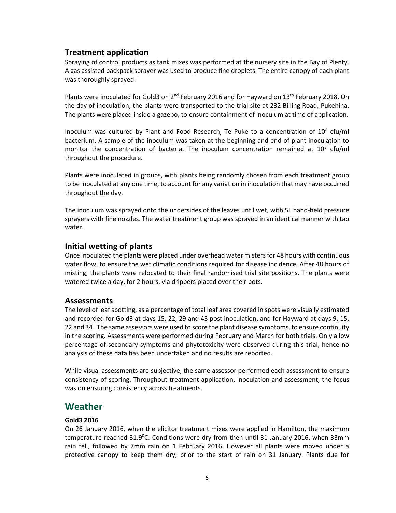### **Treatment application**

Spraying of control products as tank mixes was performed at the nursery site in the Bay of Plenty. A gas assisted backpack sprayer was used to produce fine droplets. The entire canopy of each plant was thoroughly sprayed.

Plants were inoculated for Gold3 on  $2^{nd}$  February 2016 and for Hayward on 13<sup>th</sup> February 2018. On the day of inoculation, the plants were transported to the trial site at 232 Billing Road, Pukehina. The plants were placed inside a gazebo, to ensure containment of inoculum at time of application.

Inoculum was cultured by Plant and Food Research, Te Puke to a concentration of  $10^8$  cfu/ml bacterium. A sample of the inoculum was taken at the beginning and end of plant inoculation to monitor the concentration of bacteria. The inoculum concentration remained at  $10^8$  cfu/ml throughout the procedure.

Plants were inoculated in groups, with plants being randomly chosen from each treatment group to be inoculated at any one time, to account for any variation in inoculation that may have occurred throughout the day.

The inoculum was sprayed onto the undersides of the leaves until wet, with 5L hand-held pressure sprayers with fine nozzles. The water treatment group was sprayed in an identical manner with tap water.

#### **Initial wetting of plants**

Once inoculated the plants were placed under overhead water misters for 48 hours with continuous water flow, to ensure the wet climatic conditions required for disease incidence. After 48 hours of misting, the plants were relocated to their final randomised trial site positions. The plants were watered twice a day, for 2 hours, via drippers placed over their pots.

#### **Assessments**

The level of leaf spotting, as a percentage of total leaf area covered in spots were visually estimated and recorded for Gold3 at days 15, 22, 29 and 43 post inoculation, and for Hayward at days 9, 15, 22 and 34 . The same assessors were used to score the plant disease symptoms, to ensure continuity in the scoring. Assessments were performed during February and March for both trials. Only a low percentage of secondary symptoms and phytotoxicity were observed during this trial, hence no analysis of these data has been undertaken and no results are reported.

While visual assessments are subjective, the same assessor performed each assessment to ensure consistency of scoring. Throughout treatment application, inoculation and assessment, the focus was on ensuring consistency across treatments.

### **Weather**

#### **Gold3 2016**

On 26 January 2016, when the elicitor treatment mixes were applied in Hamilton, the maximum temperature reached  $31.9^{\circ}$ C. Conditions were dry from then until 31 January 2016, when 33mm rain fell, followed by 7mm rain on 1 February 2016. However all plants were moved under a protective canopy to keep them dry, prior to the start of rain on 31 January. Plants due for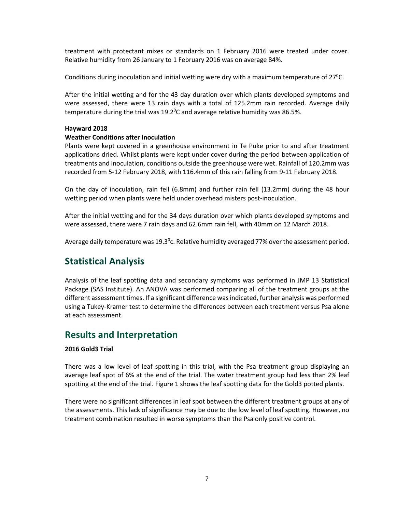treatment with protectant mixes or standards on 1 February 2016 were treated under cover. Relative humidity from 26 January to 1 February 2016 was on average 84%.

Conditions during inoculation and initial wetting were dry with a maximum temperature of  $27^{\circ}$ C.

After the initial wetting and for the 43 day duration over which plants developed symptoms and were assessed, there were 13 rain days with a total of 125.2mm rain recorded. Average daily temperature during the trial was  $19.2^{\circ}$ C and average relative humidity was 86.5%.

#### **Hayward 2018**

#### **Weather Conditions after Inoculation**

Plants were kept covered in a greenhouse environment in Te Puke prior to and after treatment applications dried. Whilst plants were kept under cover during the period between application of treatments and inoculation, conditions outside the greenhouse were wet. Rainfall of 120.2mm was recorded from 5-12 February 2018, with 116.4mm of this rain falling from 9-11 February 2018.

On the day of inoculation, rain fell (6.8mm) and further rain fell (13.2mm) during the 48 hour wetting period when plants were held under overhead misters post-inoculation.

After the initial wetting and for the 34 days duration over which plants developed symptoms and were assessed, there were 7 rain days and 62.6mm rain fell, with 40mm on 12 March 2018.

Average daily temperature was 19.3<sup>o</sup>c. Relative humidity averaged 77% over the assessment period.

# **Statistical Analysis**

Analysis of the leaf spotting data and secondary symptoms was performed in JMP 13 Statistical Package (SAS Institute). An ANOVA was performed comparing all of the treatment groups at the different assessment times. If a significant difference wasindicated, further analysis was performed using a Tukey-Kramer test to determine the differences between each treatment versus Psa alone at each assessment.

## **Results and Interpretation**

#### **2016 Gold3 Trial**

There was a low level of leaf spotting in this trial, with the Psa treatment group displaying an average leaf spot of 6% at the end of the trial. The water treatment group had less than 2% leaf spotting at the end of the trial. Figure 1 shows the leaf spotting data for the Gold3 potted plants.

There were no significant differences in leaf spot between the different treatment groups at any of the assessments. This lack of significance may be due to the low level of leaf spotting. However, no treatment combination resulted in worse symptoms than the Psa only positive control.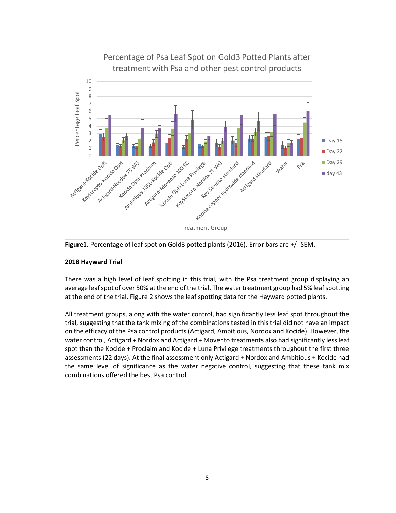

**Figure1.** Percentage of leaf spot on Gold3 potted plants (2016). Error bars are +/- SEM.

#### **2018 Hayward Trial**

There was a high level of leaf spotting in this trial, with the Psa treatment group displaying an average leaf spot of over 50% at the end of the trial. The water treatment group had 5% leaf spotting at the end of the trial. Figure 2 shows the leaf spotting data for the Hayward potted plants.

All treatment groups, along with the water control, had significantly less leaf spot throughout the trial, suggesting that the tank mixing of the combinations tested in this trial did not have an impact on the efficacy of the Psa control products (Actigard, Ambitious, Nordox and Kocide). However, the water control, Actigard + Nordox and Actigard + Movento treatments also had significantly less leaf spot than the Kocide + Proclaim and Kocide + Luna Privilege treatments throughout the first three assessments (22 days). At the final assessment only Actigard + Nordox and Ambitious + Kocide had the same level of significance as the water negative control, suggesting that these tank mix combinations offered the best Psa control.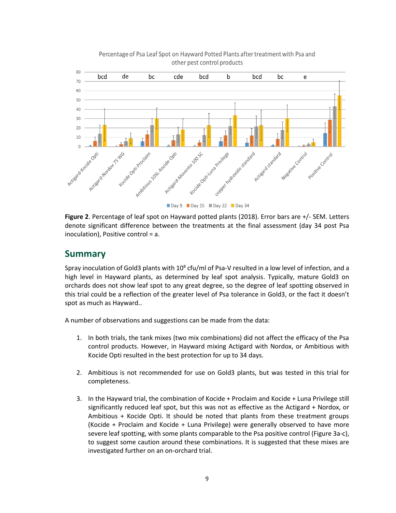

Percentage of Psa Leaf Spot on Hayward Potted Plants after treatment with Psa and other pest control products

**Figure 2**. Percentage of leaf spot on Hayward potted plants (2018). Error bars are +/- SEM. Letters denote significant difference between the treatments at the final assessment (day 34 post Psa

# **Summary**

inoculation), Positive control = a.

Spray inoculation of Gold3 plants with  $10^8$  cfu/ml of Psa-V resulted in a low level of infection, and a high level in Hayward plants, as determined by leaf spot analysis. Typically, mature Gold3 on orchards does not show leaf spot to any great degree, so the degree of leaf spotting observed in this trial could be a reflection of the greater level of Psa tolerance in Gold3, or the fact it doesn't spot as much as Hayward..

A number of observations and suggestions can be made from the data:

- 1. In both trials, the tank mixes (two mix combinations) did not affect the efficacy of the Psa control products. However, in Hayward mixing Actigard with Nordox, or Ambitious with Kocide Opti resulted in the best protection for up to 34 days.
- 2. Ambitious is not recommended for use on Gold3 plants, but was tested in this trial for completeness.
- 3. In the Hayward trial, the combination of Kocide + Proclaim and Kocide + Luna Privilege still significantly reduced leaf spot, but this was not as effective as the Actigard + Nordox, or Ambitious + Kocide Opti. It should be noted that plants from these treatment groups (Kocide + Proclaim and Kocide + Luna Privilege) were generally observed to have more severe leaf spotting, with some plants comparable to the Psa positive control (Figure 3a-c), to suggest some caution around these combinations. It is suggested that these mixes are investigated further on an on-orchard trial.